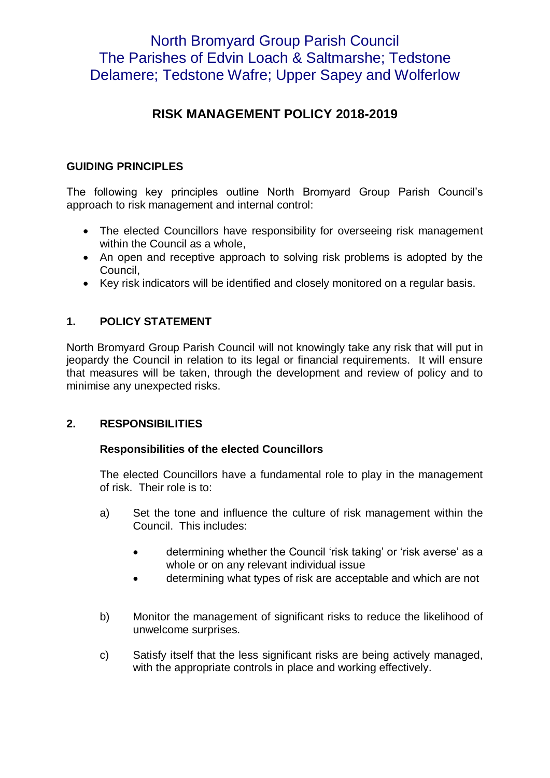# North Bromyard Group Parish Council The Parishes of Edvin Loach & Saltmarshe; Tedstone Delamere; Tedstone Wafre; Upper Sapey and Wolferlow

# **RISK MANAGEMENT POLICY 2018-2019**

### **GUIDING PRINCIPLES**

The following key principles outline North Bromyard Group Parish Council's approach to risk management and internal control:

- The elected Councillors have responsibility for overseeing risk management within the Council as a whole.
- An open and receptive approach to solving risk problems is adopted by the Council,
- Key risk indicators will be identified and closely monitored on a regular basis.

## **1. POLICY STATEMENT**

North Bromyard Group Parish Council will not knowingly take any risk that will put in jeopardy the Council in relation to its legal or financial requirements. It will ensure that measures will be taken, through the development and review of policy and to minimise any unexpected risks.

#### **2. RESPONSIBILITIES**

#### **Responsibilities of the elected Councillors**

The elected Councillors have a fundamental role to play in the management of risk. Their role is to:

- a) Set the tone and influence the culture of risk management within the Council. This includes:
	- determining whether the Council 'risk taking' or 'risk averse' as a whole or on any relevant individual issue
	- determining what types of risk are acceptable and which are not
- b) Monitor the management of significant risks to reduce the likelihood of unwelcome surprises.
- c) Satisfy itself that the less significant risks are being actively managed, with the appropriate controls in place and working effectively.